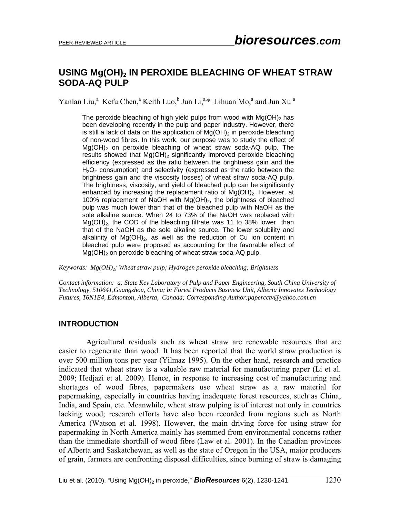# **USING Mg(OH)<sub>2</sub> IN PEROXIDE BLEACHING OF WHEAT STRAW SODA-AQ PULP**

Yanlan Liu,<sup>a</sup> Kefu Chen,<sup>a</sup> Keith Luo,<sup>b</sup> Jun Li,<sup>a,\*</sup> Lihuan Mo,<sup>a</sup> and Jun Xu<sup>a</sup>

The peroxide bleaching of high yield pulps from wood with  $Mq(OH)$ <sub>2</sub> has been developing recently in the pulp and paper industry. However, there is still a lack of data on the application of  $Mg(OH)_{2}$  in peroxide bleaching of non-wood fibres. In this work, our purpose was to study the effect of  $Mg(OH)_2$  on peroxide bleaching of wheat straw soda-AQ pulp. The results showed that  $Mg(OH)_{2}$  significantly improved peroxide bleaching efficiency (expressed as the ratio between the brightness gain and the  $H<sub>2</sub>O<sub>2</sub>$  consumption) and selectivity (expressed as the ratio between the brightness gain and the viscosity losses) of wheat straw soda-AQ pulp. The brightness, viscosity, and yield of bleached pulp can be significantly enhanced by increasing the replacement ratio of  $Mg(OH)_2$ . However, at 100% replacement of NaOH with  $Mg(OH)_2$ , the brightness of bleached pulp was much lower than that of the bleached pulp with NaOH as the sole alkaline source. When 24 to 73% of the NaOH was replaced with  $Mg(OH)_{2}$ , the COD of the bleaching filtrate was 11 to 38% lower than that of the NaOH as the sole alkaline source. The lower solubility and alkalinity of  $Mg(OH)_2$ , as well as the reduction of Cu ion content in bleached pulp were proposed as accounting for the favorable effect of  $Mq(OH)$ <sub>2</sub> on peroxide bleaching of wheat straw soda-AQ pulp.

*Keywords: Mg(OH)2; Wheat straw pulp; Hydrogen peroxide bleaching; Brightness* 

*Contact information: a: State Key Laboratory of Pulp and Paper Engineering, South China University of Technology, 510641,Guangzhou, China; b: Forest Products Business Unit, Alberta Innovates Technology Futures, T6N1E4, Edmonton, Alberta, Canada; Corresponding Author:papercctv@yahoo.com.cn* 

### **INTRODUCTION**

Agricultural residuals such as wheat straw are renewable resources that are easier to regenerate than wood. It has been reported that the world straw production is over 500 million tons per year (Yilmaz 1995). On the other hand, research and practice indicated that wheat straw is a valuable raw material for manufacturing paper (Li et al. 2009; Hedjazi et al. 2009). Hence, in response to increasing cost of manufacturing and shortages of wood fibres, papermakers use wheat straw as a raw material for papermaking, especially in countries having inadequate forest resources, such as China, India, and Spain, etc. Meanwhile, wheat straw pulping is of interest not only in countries lacking wood; research efforts have also been recorded from regions such as North America (Watson et al. 1998). However, the main driving force for using straw for papermaking in North America mainly has stemmed from environmental concerns rather than the immediate shortfall of wood fibre (Law et al. 2001). In the Canadian provinces of Alberta and Saskatchewan, as well as the state of Oregon in the USA, major producers of grain, farmers are confronting disposal difficulties, since burning of straw is damaging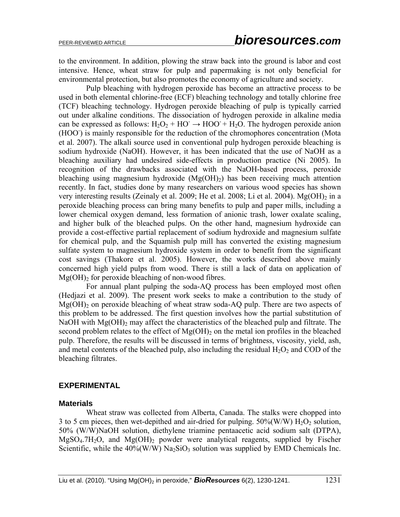to the environment. In addition, plowing the straw back into the ground is labor and cost intensive. Hence, wheat straw for pulp and papermaking is not only beneficial for environmental protection, but also promotes the economy of agriculture and society.

Pulp bleaching with hydrogen peroxide has become an attractive process to be used in both elemental chlorine-free (ECF) bleaching technology and totally chlorine free (TCF) bleaching technology. Hydrogen peroxide bleaching of pulp is typically carried out under alkaline conditions. The dissociation of hydrogen peroxide in alkaline media can be expressed as follows:  $H_2O_2 + HO \rightarrow HOO + H_2O$ . The hydrogen peroxide anion (HOO) is mainly responsible for the reduction of the chromophores concentration (Mota et al. 2007). The alkali source used in conventional pulp hydrogen peroxide bleaching is sodium hydroxide (NaOH). However, it has been indicated that the use of NaOH as a bleaching auxiliary had undesired side-effects in production practice (Ni 2005). In recognition of the drawbacks associated with the NaOH-based process, peroxide bleaching using magnesium hydroxide  $(Mg(OH)_2)$  has been receiving much attention recently. In fact, studies done by many researchers on various wood species has shown very interesting results (Zeinaly et al. 2009; He et al. 2008; Li et al. 2004). Mg(OH) $_2$  in a peroxide bleaching process can bring many benefits to pulp and paper mills, including a lower chemical oxygen demand, less formation of anionic trash, lower oxalate scaling, and higher bulk of the bleached pulps. On the other hand, magnesium hydroxide can provide a cost-effective partial replacement of sodium hydroxide and magnesium sulfate for chemical pulp, and the Squamish pulp mill has converted the existing magnesium sulfate system to magnesium hydroxide system in order to benefit from the significant cost savings (Thakore et al. 2005). However, the works described above mainly concerned high yield pulps from wood. There is still a lack of data on application of  $Mg(OH)$ <sub>2</sub> for peroxide bleaching of non-wood fibres.

For annual plant pulping the soda-AQ process has been employed most often (Hedjazi et al. 2009). The present work seeks to make a contribution to the study of  $Mg(OH)_2$  on peroxide bleaching of wheat straw soda-AQ pulp. There are two aspects of this problem to be addressed. The first question involves how the partial substitution of NaOH with  $Mg(OH)$ <sub>2</sub> may affect the characteristics of the bleached pulp and filtrate. The second problem relates to the effect of  $Mg(OH)_2$  on the metal ion profiles in the bleached pulp. Therefore, the results will be discussed in terms of brightness, viscosity, yield, ash, and metal contents of the bleached pulp, also including the residual  $H_2O_2$  and COD of the bleaching filtrates.

### **EXPERIMENTAL**

### **Materials**

Wheat straw was collected from Alberta, Canada. The stalks were chopped into 3 to 5 cm pieces, then wet-depithed and air-dried for pulping.  $50\%$  (W/W)  $H_2O_2$  solution, 50% (W/W)NaOH solution, diethylene triamine pentaacetic acid sodium salt (DTPA),  $MgSO<sub>4</sub>$ ,  $7H<sub>2</sub>O$ , and  $Mg(OH)<sub>2</sub>$  powder were analytical reagents, supplied by Fischer Scientific, while the  $40\%(W/W)$  Na<sub>2</sub>SiO<sub>3</sub> solution was supplied by EMD Chemicals Inc.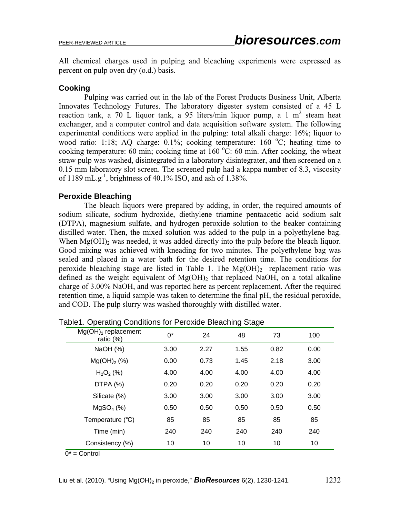All chemical charges used in pulping and bleaching experiments were expressed as percent on pulp oven dry (o.d.) basis.

### **Cooking**

 Pulping was carried out in the lab of the Forest Products Business Unit, Alberta Innovates Technology Futures. The laboratory digester system consisted of a 45 L reaction tank, a  $70$  L liquor tank, a  $95$  liters/min liquor pump, a 1 m<sup>2</sup> steam heat exchanger, and a computer control and data acquisition software system. The following experimental conditions were applied in the pulping: total alkali charge: 16%; liquor to wood ratio: 1:18; AQ charge:  $0.1\%$ ; cooking temperature: 160 °C; heating time to cooking temperature: 60 min; cooking time at  $160^{\circ}$ C: 60 min. After cooking, the wheat straw pulp was washed, disintegrated in a laboratory disintegrater, and then screened on a 0.15 mm laboratory slot screen. The screened pulp had a kappa number of 8.3, viscosity of 1189 mL.g<sup>-1</sup>, brightness of 40.1% ISO, and ash of 1.38%.

### **Peroxide Bleaching**

 The bleach liquors were prepared by adding, in order, the required amounts of sodium silicate, sodium hydroxide, diethylene triamine pentaacetic acid sodium salt (DTPA), magnesium sulfate, and hydrogen peroxide solution to the beaker containing distilled water. Then, the mixed solution was added to the pulp in a polyethylene bag. When  $Mg(OH)$ <sub>2</sub> was needed, it was added directly into the pulp before the bleach liquor. Good mixing was achieved with kneading for two minutes. The polyethylene bag was sealed and placed in a water bath for the desired retention time. The conditions for peroxide bleaching stage are listed in Table 1. The  $Mg(OH)_2$  replacement ratio was defined as the weight equivalent of  $Mg(OH)$ <sub>2</sub> that replaced NaOH, on a total alkaline charge of 3.00% NaOH, and was reported here as percent replacement. After the required retention time, a liquid sample was taken to determine the final pH, the residual peroxide, and COD. The pulp slurry was washed thoroughly with distilled water.

| $Mg(OH)2$ replacement<br>ratio $(%)$ | 0*   | 24   | 48   | 73   | 100  |  |
|--------------------------------------|------|------|------|------|------|--|
| NaOH (%)                             | 3.00 | 2.27 | 1.55 | 0.82 | 0.00 |  |
| $Mg(OH)_2$ (%)                       | 0.00 | 0.73 | 1.45 | 2.18 | 3.00 |  |
| $H_2O_2$ (%)                         | 4.00 | 4.00 | 4.00 | 4.00 | 4.00 |  |
| DTPA $(%)$                           | 0.20 | 0.20 | 0.20 | 0.20 | 0.20 |  |
| Silicate (%)                         | 3.00 | 3.00 | 3.00 | 3.00 | 3.00 |  |
| MgSO <sub>4</sub> (%)                | 0.50 | 0.50 | 0.50 | 0.50 | 0.50 |  |
| Temperature (°C)                     | 85   | 85   | 85   | 85   | 85   |  |
| Time (min)                           | 240  | 240  | 240  | 240  | 240  |  |
| Consistency (%)                      | 10   | 10   | 10   | 10   | 10   |  |

Table1. Operating Conditions for Peroxide Bleaching Stage

0**\*** = Control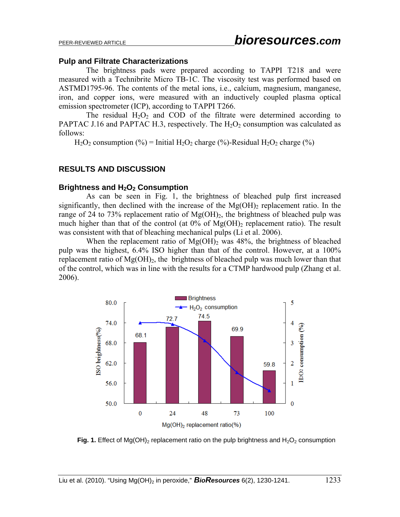#### **Pulp and Filtrate Characterizations**

The brightness pads were prepared according to TAPPI T218 and were measured with a Technibrite Micro TB-1C. The viscosity test was performed based on ASTMD1795-96. The contents of the metal ions, i.e., calcium, magnesium, manganese, iron, and copper ions, were measured with an inductively coupled plasma optical emission spectrometer (ICP), according to TAPPI T266.

The residual  $H_2O_2$  and COD of the filtrate were determined according to PAPTAC J.16 and PAPTAC H.3, respectively. The  $H_2O_2$  consumption was calculated as follows:

 $H_2O_2$  consumption (%) = Initial  $H_2O_2$  charge (%)-Residual  $H_2O_2$  charge (%)

### **RESULTS AND DISCUSSION**

### **Brightness and H<sub>2</sub>O<sub>2</sub> Consumption**

As can be seen in Fig. 1, the brightness of bleached pulp first increased significantly, then declined with the increase of the  $Mg(OH)$ <sub>2</sub> replacement ratio. In the range of 24 to 73% replacement ratio of  $Mg(OH)_2$ , the brightness of bleached pulp was much higher than that of the control (at  $0\%$  of Mg(OH)<sub>2</sub> replacement ratio). The result was consistent with that of bleaching mechanical pulps (Li et al. 2006).

When the replacement ratio of  $Mg(OH)$ <sub>2</sub> was 48%, the brightness of bleached pulp was the highest, 6.4% ISO higher than that of the control. However, at a 100% replacement ratio of  $Mg(OH)_{2}$ , the brightness of bleached pulp was much lower than that of the control, which was in line with the results for a CTMP hardwood pulp (Zhang et al. 2006).



**Fig. 1.** Effect of Mg(OH)<sub>2</sub> replacement ratio on the pulp brightness and  $H_2O_2$  consumption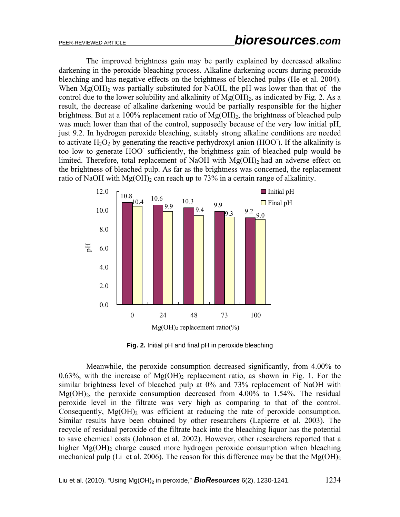The improved brightness gain may be partly explained by decreased alkaline darkening in the peroxide bleaching process. Alkaline darkening occurs during peroxide bleaching and has negative effects on the brightness of bleached pulps (He et al. 2004). When  $Mg(OH)$ <sub>2</sub> was partially substituted for NaOH, the pH was lower than that of the control due to the lower solubility and alkalinity of  $Mg(OH)_{2}$ , as indicated by Fig. 2. As a result, the decrease of alkaline darkening would be partially responsible for the higher brightness. But at a 100% replacement ratio of  $Mg(OH)$ , the brightness of bleached pulp was much lower than that of the control, supposedly because of the very low initial pH, just 9.2. In hydrogen peroxide bleaching, suitably strong alkaline conditions are needed to activate  $H_2O_2$  by generating the reactive perhydroxyl anion (HOO). If the alkalinity is too low to generate HOO- sufficiently, the brightness gain of bleached pulp would be limited. Therefore, total replacement of NaOH with  $Mg(OH)_2$  had an adverse effect on the brightness of bleached pulp. As far as the brightness was concerned, the replacement ratio of NaOH with  $Mg(OH)_2$  can reach up to 73% in a certain range of alkalinity.



**Fig. 2.** Initial pH and final pH in peroxide bleaching

Meanwhile, the peroxide consumption decreased significantly, from 4.00% to 0.63%, with the increase of  $Mg(OH)$  replacement ratio, as shown in Fig. 1. For the similar brightness level of bleached pulp at 0% and 73% replacement of NaOH with  $Mg(OH)_2$ , the peroxide consumption decreased from 4.00% to 1.54%. The residual peroxide level in the filtrate was very high as comparing to that of the control. Consequently,  $Mg(OH)$ <sub>2</sub> was efficient at reducing the rate of peroxide consumption. Similar results have been obtained by other researchers (Lapierre et al. 2003). The recycle of residual peroxide of the filtrate back into the bleaching liquor has the potential to save chemical costs (Johnson et al. 2002). However, other researchers reported that a higher  $Mg(OH)$ <sub>2</sub> charge caused more hydrogen peroxide consumption when bleaching mechanical pulp (Li et al. 2006). The reason for this difference may be that the  $Mg(OH)_{2}$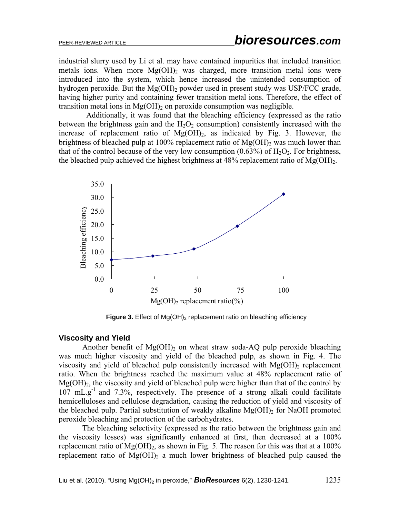industrial slurry used by Li et al. may have contained impurities that included transition metals ions. When more  $Mg(OH)_2$  was charged, more transition metal ions were introduced into the system, which hence increased the unintended consumption of hydrogen peroxide. But the  $Mg(OH)_2$  powder used in present study was USP/FCC grade, having higher purity and containing fewer transition metal ions. Therefore, the effect of transition metal ions in  $Mg(OH)$ <sub>2</sub> on peroxide consumption was negligible.

Additionally, it was found that the bleaching efficiency (expressed as the ratio between the brightness gain and the  $H_2O_2$  consumption) consistently increased with the increase of replacement ratio of  $Mg(OH)_2$ , as indicated by Fig. 3. However, the brightness of bleached pulp at 100% replacement ratio of  $Mg(OH)$ <sub>2</sub> was much lower than that of the control because of the very low consumption  $(0.63\%)$  of  $H_2O_2$ . For brightness, the bleached pulp achieved the highest brightness at  $48\%$  replacement ratio of Mg(OH)<sub>2</sub>.



**Figure 3.** Effect of Mg(OH)<sub>2</sub> replacement ratio on bleaching efficiency

### **Viscosity and Yield**

Another benefit of  $Mg(OH)_2$  on wheat straw soda-AQ pulp peroxide bleaching was much higher viscosity and yield of the bleached pulp, as shown in Fig. 4. The viscosity and yield of bleached pulp consistently increased with  $Mg(OH)$ <sub>2</sub> replacement ratio. When the brightness reached the maximum value at 48% replacement ratio of  $Mg(OH)_2$ , the viscosity and yield of bleached pulp were higher than that of the control by  $107 \text{ mL} \cdot \text{g}^{-1}$  and  $7.3\%$ , respectively. The presence of a strong alkali could facilitate hemicelluloses and cellulose degradation, causing the reduction of yield and viscosity of the bleached pulp. Partial substitution of weakly alkaline  $Mg(OH)$ <sub>2</sub> for NaOH promoted peroxide bleaching and protection of the carbohydrates.

The bleaching selectivity (expressed as the ratio between the brightness gain and the viscosity losses) was significantly enhanced at first, then decreased at a 100% replacement ratio of  $Mg(OH)_2$ , as shown in Fig. 5. The reason for this was that at a 100% replacement ratio of  $Mg(OH)_2$  a much lower brightness of bleached pulp caused the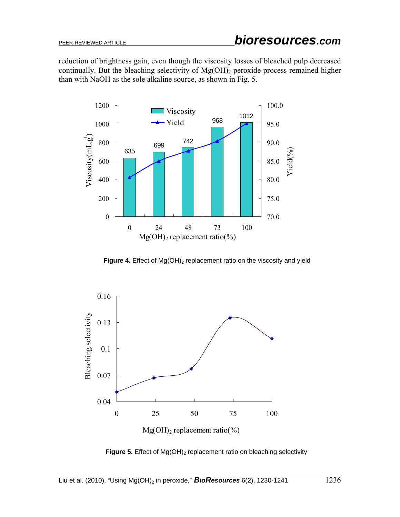reduction of brightness gain, even though the viscosity losses of bleached pulp decreased continually. But the bleaching selectivity of  $Mg(OH)_2$  peroxide process remained higher than with NaOH as the sole alkaline source, as shown in Fig. 5.



**Figure 4.** Effect of Mg(OH)<sub>2</sub> replacement ratio on the viscosity and yield



Figure 5. Effect of Mg(OH)<sub>2</sub> replacement ratio on bleaching selectivity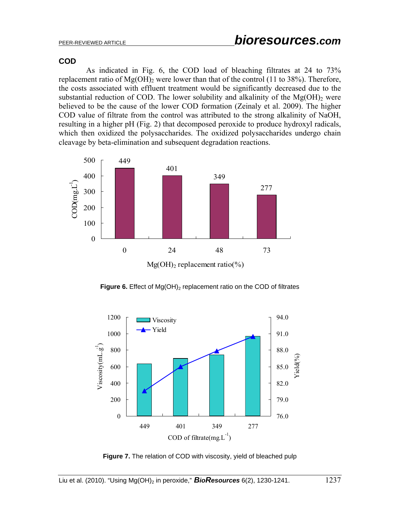### **COD**

As indicated in Fig. 6, the COD load of bleaching filtrates at 24 to 73% replacement ratio of  $Mg(OH)$ <sub>2</sub> were lower than that of the control (11 to 38%). Therefore, the costs associated with effluent treatment would be significantly decreased due to the substantial reduction of COD. The lower solubility and alkalinity of the  $Mg(OH)$ <sub>2</sub> were believed to be the cause of the lower COD formation (Zeinaly et al. 2009). The higher COD value of filtrate from the control was attributed to the strong alkalinity of NaOH, resulting in a higher pH (Fig. 2) that decomposed peroxide to produce hydroxyl radicals, which then oxidized the polysaccharides. The oxidized polysaccharides undergo chain cleavage by beta-elimination and subsequent degradation reactions.



**Figure 6.** Effect of Mg(OH)<sub>2</sub> replacement ratio on the COD of filtrates



**Figure 7.** The relation of COD with viscosity, yield of bleached pulp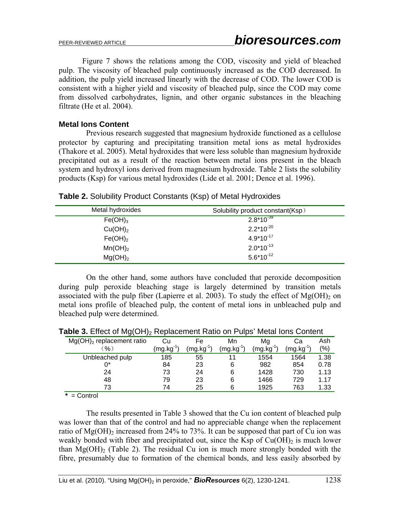Figure 7 shows the relations among the COD, viscosity and yield of bleached pulp. The viscosity of bleached pulp continuously increased as the COD decreased. In addition, the pulp yield increased linearly with the decrease of COD. The lower COD is consistent with a higher yield and viscosity of bleached pulp, since the COD may come from dissolved carbohydrates, lignin, and other organic substances in the bleaching filtrate (He et al. 2004).

### **Metal Ions Content**

Previous research suggested that magnesium hydroxide functioned as a cellulose protector by capturing and precipitating transition metal ions as metal hydroxides (Thakore et al. 2005). Metal hydroxides that were less soluble than magnesium hydroxide precipitated out as a result of the reaction between metal ions present in the bleach system and hydroxyl ions derived from magnesium hydroxide. Table 2 lists the solubility products (Ksp) for various metal hydroxides (Lide et al. 2001; Dence et al. 1996).

| Metal hydroxides    | Solubility product constant(Ksp) |
|---------------------|----------------------------------|
| Fe(OH) <sub>3</sub> | $2.8*10^{-39}$                   |
| Cu(OH) <sub>2</sub> | $2.2*10^{-20}$                   |
| Fe(OH) <sub>2</sub> | $4.9*10^{-17}$                   |
| Mn(OH) <sub>2</sub> | $2.0*10^{-13}$                   |
| Mg(OH) <sub>2</sub> | $5.6*10^{-12}$                   |

| Table 2. Solubility Product Constants (Ksp) of Metal Hydroxides |
|-----------------------------------------------------------------|
|-----------------------------------------------------------------|

On the other hand, some authors have concluded that peroxide decomposition during pulp peroxide bleaching stage is largely determined by transition metals associated with the pulp fiber (Lapierre et al. 2003). To study the effect of  $Mg(OH)$ <sub>2</sub> on metal ions profile of bleached pulp, the content of metal ions in unbleached pulp and bleached pulp were determined.

| ັ<br>. .                    |                |         |        |                     |                |         |
|-----------------------------|----------------|---------|--------|---------------------|----------------|---------|
| $Mg(OH)2$ replacement ratio | Cu             | Fe      | Mn     | Mg                  | Cа             | Ash     |
| %                           | $(mg.kg^{-1})$ | (mg.kg) | (mg.kg | (mg.kg <sup>-</sup> | $(mg.kg^{-1})$ | $(\% )$ |
| Unbleached pulp             | 185            | 55      | 11     | 1554                | 1564           | 1.38    |
|                             | 84             | 23      | 6      | 982                 | 854            | 0.78    |
| 24                          | 73             | 24      | 6      | 1428                | 730            | 1.13    |
| 48                          | 79             | 23      | 6      | 1466                | 729            | 1.17    |
| 73                          | 74             | 25      | 6      | 1925                | 763            | 1.33    |
| $\sim$                      |                |         |        |                     |                |         |

|  |  | Table 3. Effect of Mg(OH) <sub>2</sub> Replacement Ratio on Pulps' Metal lons Content |
|--|--|---------------------------------------------------------------------------------------|
|--|--|---------------------------------------------------------------------------------------|

**\*** = Control

The results presented in Table 3 showed that the Cu ion content of bleached pulp was lower than that of the control and had no appreciable change when the replacement ratio of  $Mg(OH)$ <sub>2</sub> increased from 24% to 73%. It can be supposed that part of Cu ion was weakly bonded with fiber and precipitated out, since the Ksp of  $Cu(OH)_{2}$  is much lower than  $Mg(OH)$ <sub>2</sub> (Table 2). The residual Cu ion is much more strongly bonded with the fibre, presumably due to formation of the chemical bonds, and less easily absorbed by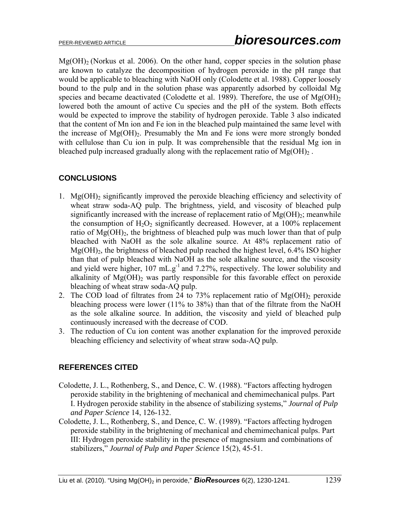$Mg(OH)$ <sub>2</sub> (Norkus et al. 2006). On the other hand, copper species in the solution phase are known to catalyze the decomposition of hydrogen peroxide in the pH range that would be applicable to bleaching with NaOH only (Colodette et al. 1988). Copper loosely bound to the pulp and in the solution phase was apparently adsorbed by colloidal Mg species and became deactivated (Colodette et al. 1989). Therefore, the use of  $Mg(OH)_{2}$ lowered both the amount of active Cu species and the pH of the system. Both effects would be expected to improve the stability of hydrogen peroxide. Table 3 also indicated that the content of Mn ion and Fe ion in the bleached pulp maintained the same level with the increase of  $Mg(OH)_{2}$ . Presumably the Mn and Fe ions were more strongly bonded with cellulose than Cu ion in pulp. It was comprehensible that the residual Mg ion in bleached pulp increased gradually along with the replacement ratio of  $Mg(OH)_{2}$ .

# **CONCLUSIONS**

- 1. Mg(OH)2 significantly improved the peroxide bleaching efficiency and selectivity of wheat straw soda-AQ pulp. The brightness, yield, and viscosity of bleached pulp significantly increased with the increase of replacement ratio of  $Mg(OH)_2$ ; meanwhile the consumption of  $H_2O_2$  significantly decreased. However, at a 100% replacement ratio of  $Mg(OH)_{2}$ , the brightness of bleached pulp was much lower than that of pulp bleached with NaOH as the sole alkaline source. At 48% replacement ratio of Mg(OH)2, the brightness of bleached pulp reached the highest level, 6.4% ISO higher than that of pulp bleached with NaOH as the sole alkaline source, and the viscosity and yield were higher, 107 mL.g<sup>-1</sup> and 7.27%, respectively. The lower solubility and alkalinity of  $Mg(OH)$ <sub>2</sub> was partly responsible for this favorable effect on peroxide bleaching of wheat straw soda-AQ pulp.
- 2. The COD load of filtrates from 24 to 73% replacement ratio of  $Mg(OH)$ <sub>2</sub> peroxide bleaching process were lower (11% to 38%) than that of the filtrate from the NaOH as the sole alkaline source. In addition, the viscosity and yield of bleached pulp continuously increased with the decrease of COD.
- 3. The reduction of Cu ion content was another explanation for the improved peroxide bleaching efficiency and selectivity of wheat straw soda-AQ pulp.

# **REFERENCES CITED**

- Colodette, J. L., Rothenberg, S., and Dence, C. W. (1988). "Factors affecting hydrogen peroxide stability in the brightening of mechanical and chemimechanical pulps. Part I. Hydrogen peroxide stability in the absence of stabilizing systems," *Journal of Pulp and Paper Science* 14, 126-132.
- Colodette, J. L., Rothenberg, S., and Dence, C. W. (1989). "Factors affecting hydrogen peroxide stability in the brightening of mechanical and chemimechanical pulps. Part III: Hydrogen peroxide stability in the presence of magnesium and combinations of stabilizers," *Journal of Pulp and Paper Science* 15(2), 45-51.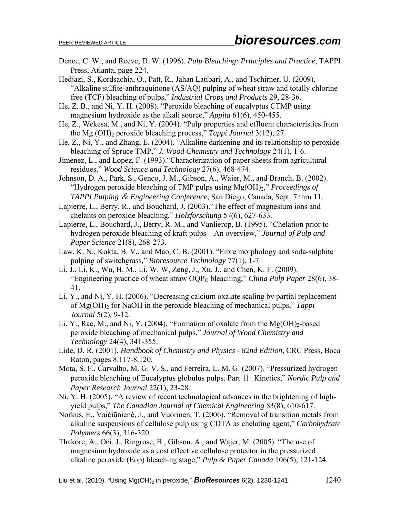- Dence, C. W., and Reeve, D. W. (1996). *Pulp Bleaching: Principles and Practice*, TAPPI Press, Atlanta, page 224.
- Hedjazi, S., Kordsachia, O., Patt, R., Jahan Latibari, A., and Tschirner, U. (2009). "Alkaline sulfite-anthraquinone (AS/AQ) pulping of wheat straw and totally chlorine free (TCF) bleaching of pulps," *Industrial Crops and Products* 29, 28-36.
- He, Z. B., and Ni, Y. H. (2008). "Peroxide bleaching of eucalyptus CTMP using magnesium hydroxide as the alkali source," *Appita* 61(6), 450-455.
- He, Z., Wekesa, M., and Ni, Y. (2004). "Pulp properties and effluent characteristics from the Mg (OH)2 peroxide bleaching process," *Tappi Journal* 3(12), 27.
- He, Z., Ni, Y., and Zhang, E. (2004). "Alkaline darkening and its relationship to peroxide bleaching of Spruce TMP," *J. Wood Chemistry and Technology* 24(1), 1-6.
- Jimenez, L., and Lopez, F. (1993)."Characterization of paper sheets from agricultural residues," *Wood Science and Technology* 27(6), 468-474.
- Johnson, D. A., Park, S., Genco, J. M., Gibson, A., Wajer, M., and Branch, B. (2002). "Hydrogen peroxide bleaching of TMP pulps using Mg(OH)2," *Proceedings of TAPPI Pulping* & *Engineering Conference,* San Diego, Canada, Sept. 7 thru 11.
- Lapierre, L., Berry, R., and Bouchard, J. (2003)."The effect of magnesium ions and chelants on peroxide bleaching," *Holzforschung* 57(6), 627-633.
- Lapierre, L., Bouchard, J., Berry, R. M., and Vanlierop, B. (1995). "Chelation prior to hydrogen peroxide bleaching of kraft pulps – An overview," *Journal of Pulp and Paper Science* 21(8), 268-273.
- Law, K. N., Kokta, B. V., and Mao, C. B. (2001). "Fibre morphology and soda-sulphite pulping of switchgrass," *Bioresource Technology* 77(1), 1-7.
- Li, J., Li, K., Wu, H. M., Li, W. W, Zeng, J., Xu, J., and Chen, K. F. (2009). "Engineering practice of wheat straw OQP<sub>O</sub> bleaching," *China Pulp Paper* 28(6), 38-41.
- Li, Y., and Ni, Y. H. (2006). "Decreasing calcium oxalate scaling by partial replacement of Mg(OH)<sub>2</sub> for NaOH in the peroxide bleaching of mechanical pulps," *Tappi Journal* 5(2), 9-12.
- Li, Y., Rae, M., and Ni, Y. (2004). "Formation of oxalate from the  $Mg(OH)_{2}$ -based peroxide bleaching of mechanical pulps," *Journal of Wood Chemistry and Technology* 24(4), 341-355.
- Lide, D. R. (2001). *Handbook of Chemistry and Physics 82nd Edition*, CRC Press, Boca Raton, pages 8.117-8.120.
- Mota, S. F., Carvalho, M. G. V. S., and Ferreira, L. M. G. (2007). "Pressurized hydrogen peroxide bleaching of Eucalyptus globulus pulps. Part Ⅱ: Kinetics," *Nordic Pulp and Paper Research Journal* 22(1), 23-28.
- Ni, Y. H. (2005). "A review of recent technological advances in the brightening of highyield pulps," *The Canadian Journal of Chemical Engineering* 83(8), 610-617.
- Norkus, E., Vaičiūnienė, J., and Vuorinen, T. (2006). "Removal of transition metals from alkaline suspensions of cellulose pulp using CDTA as chelating agent," *Carbohydrate Polymers* 66(3), 316-320.
- Thakore, A., Oei, J., Ringrose, B., Gibson, A., and Wajer, M. (2005). "The use of magnesium hydroxide as a cost effective cellulose protector in the pressurized alkaline peroxide (Eop) bleaching stage," *Pulp & Paper Canada* 106(5), 121-124.